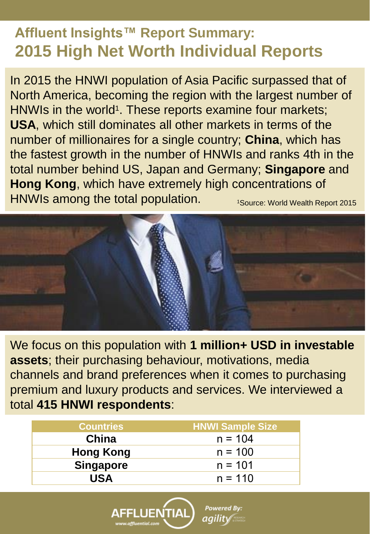### **Affluent Insights™ Report Summary: 2015 High Net Worth Individual Reports**

In 2015 the HNWI population of Asia Pacific surpassed that of North America, becoming the region with the largest number of HNWIs in the world<sup>1</sup>. These reports examine four markets; **USA**, which still dominates all other markets in terms of the number of millionaires for a single country; **China**, which has the fastest growth in the number of HNWIs and ranks 4th in the total number behind US, Japan and Germany; **Singapore** and **Hong Kong**, which have extremely high concentrations of HNWIs among the total population. 1Source: World Wealth Report 2015



We focus on this population with **1 million+ USD in investable assets**; their purchasing behaviour, motivations, media channels and brand preferences when it comes to purchasing premium and luxury products and services. We interviewed a total **415 HNWI respondents**:

**Powered By:** 

aqilit√

| <b>Countries</b> | <b>HNWI Sample Size</b> |
|------------------|-------------------------|
| China            | $n = 104$               |
| <b>Hong Kong</b> | $n = 100$               |
| <b>Singapore</b> | $n = 101$               |
| <b>USA</b>       | $n = 110$               |

FLUENTIAL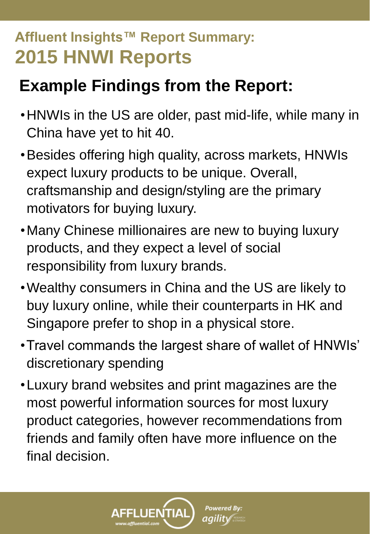# **Example Findings from the Report:**

- •HNWIs in the US are older, past mid-life, while many in China have yet to hit 40.
- •Besides offering high quality, across markets, HNWIs expect luxury products to be unique. Overall, craftsmanship and design/styling are the primary motivators for buying luxury.
- •Many Chinese millionaires are new to buying luxury products, and they expect a level of social responsibility from luxury brands.
- •Wealthy consumers in China and the US are likely to buy luxury online, while their counterparts in HK and Singapore prefer to shop in a physical store.
- •Travel commands the largest share of wallet of HNWIs' discretionary spending
- •Luxury brand websites and print magazines are the most powerful information sources for most luxury product categories, however recommendations from friends and family often have more influence on the final decision.

FLUENTIAL

w.affluential.com

**Powered By:** 

*agility* and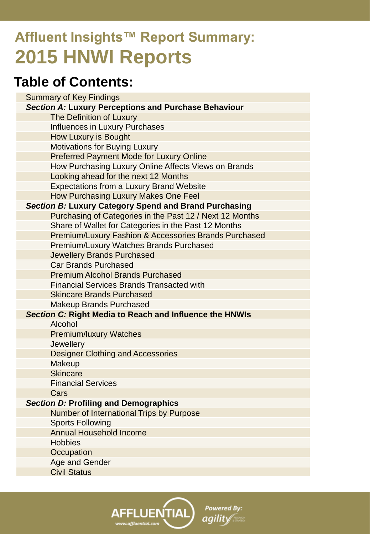### **Table of Contents:**

|                                                         | <b>Summary of Key Findings</b>                           |  |
|---------------------------------------------------------|----------------------------------------------------------|--|
|                                                         | Section A: Luxury Perceptions and Purchase Behaviour     |  |
|                                                         | The Definition of Luxury                                 |  |
|                                                         | <b>Influences in Luxury Purchases</b>                    |  |
|                                                         | How Luxury is Bought                                     |  |
|                                                         | <b>Motivations for Buying Luxury</b>                     |  |
|                                                         | <b>Preferred Payment Mode for Luxury Online</b>          |  |
|                                                         | How Purchasing Luxury Online Affects Views on Brands     |  |
|                                                         | Looking ahead for the next 12 Months                     |  |
|                                                         | <b>Expectations from a Luxury Brand Website</b>          |  |
|                                                         | How Purchasing Luxury Makes One Feel                     |  |
|                                                         | Section B: Luxury Category Spend and Brand Purchasing    |  |
|                                                         | Purchasing of Categories in the Past 12 / Next 12 Months |  |
|                                                         | Share of Wallet for Categories in the Past 12 Months     |  |
|                                                         | Premium/Luxury Fashion & Accessories Brands Purchased    |  |
|                                                         | Premium/Luxury Watches Brands Purchased                  |  |
|                                                         | <b>Jewellery Brands Purchased</b>                        |  |
|                                                         | Car Brands Purchased                                     |  |
|                                                         | <b>Premium Alcohol Brands Purchased</b>                  |  |
|                                                         | <b>Financial Services Brands Transacted with</b>         |  |
|                                                         | <b>Skincare Brands Purchased</b>                         |  |
|                                                         | <b>Makeup Brands Purchased</b>                           |  |
| Section C: Right Media to Reach and Influence the HNWIs |                                                          |  |
|                                                         | Alcohol                                                  |  |
|                                                         | <b>Premium/luxury Watches</b>                            |  |
|                                                         | Jewellery                                                |  |
|                                                         | <b>Designer Clothing and Accessories</b>                 |  |
|                                                         | Makeup                                                   |  |
|                                                         | <b>Skincare</b>                                          |  |
|                                                         | <b>Financial Services</b>                                |  |
|                                                         | Cars                                                     |  |
| Section D: Profiling and Demographics                   |                                                          |  |
|                                                         | Number of International Trips by Purpose                 |  |
|                                                         | <b>Sports Following</b>                                  |  |
|                                                         | <b>Annual Household Income</b>                           |  |
|                                                         | <b>Hobbies</b>                                           |  |
|                                                         | Occupation                                               |  |
|                                                         | Age and Gender                                           |  |
|                                                         | <b>Civil Status</b>                                      |  |
|                                                         |                                                          |  |

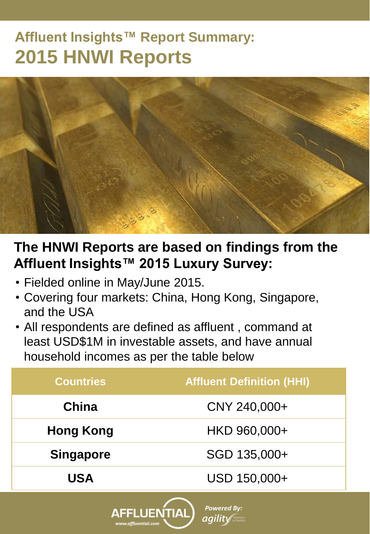

### **The HNWI Reports are based on findings from the Affluent Insights™ 2015 Luxury Survey:**

- Fielded online in May/June 2015.
- Covering four markets: China, Hong Kong, Singapore, and the USA
- All respondents are defined as affluent , command at least USD\$1M in investable assets, and have annual household incomes as per the table below

| <b>Countries</b> | <b>Affluent Definition (HHI)</b> |
|------------------|----------------------------------|
| China            | CNY 240,000+                     |
| <b>Hong Kong</b> | HKD 960,000+                     |
| <b>Singapore</b> | SGD 135,000+                     |
| <b>USA</b>       | USD 150,000+                     |
|                  |                                  |

**Powered By:** 

agility